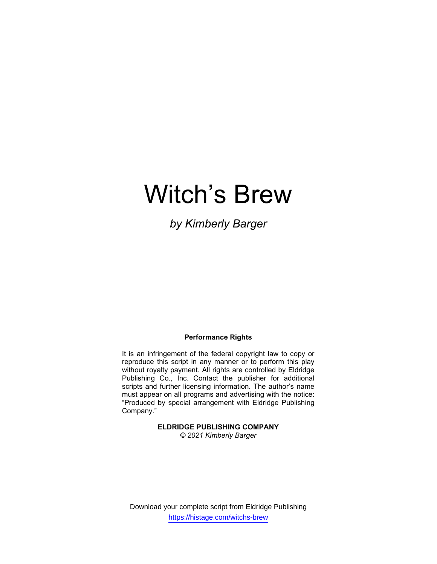# Witch's Brew

by Kimberly Barger

### Performance Rights

It is an infringement of the federal copyright law to copy or reproduce this script in any manner or to perform this play without royalty payment. All rights are controlled by Eldridge Publishing Co., Inc. Contact the publisher for additional scripts and further licensing information. The author's name must appear on all programs and advertising with the notice: "Produced by special arrangement with Eldridge Publishing Company."

#### ELDRIDGE PUBLISHING COMPANY © 2021 Kimberly Barger

Download your complete script from Eldridge Publishing https://histage.com/witchs-brew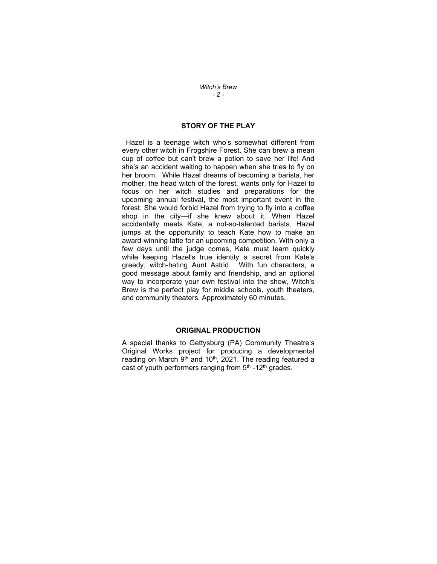Witch's Brew - 2 -

## STORY OF THE PLAY

 Hazel is a teenage witch who's somewhat different from every other witch in Frogshire Forest. She can brew a mean cup of coffee but can't brew a potion to save her life! And she's an accident waiting to happen when she tries to fly on her broom. While Hazel dreams of becoming a barista, her mother, the head witch of the forest, wants only for Hazel to focus on her witch studies and preparations for the upcoming annual festival, the most important event in the forest. She would forbid Hazel from trying to fly into a coffee shop in the city—if she knew about it. When Hazel accidentally meets Kate, a not-so-talented barista, Hazel jumps at the opportunity to teach Kate how to make an award-winning latte for an upcoming competition. With only a few days until the judge comes, Kate must learn quickly while keeping Hazel's true identity a secret from Kate's greedy, witch-hating Aunt Astrid. With fun characters, a good message about family and friendship, and an optional way to incorporate your own festival into the show, Witch's Brew is the perfect play for middle schools, youth theaters, and community theaters. Approximately 60 minutes.

#### ORIGINAL PRODUCTION

A special thanks to Gettysburg (PA) Community Theatre's Original Works project for producing a developmental reading on March  $9<sup>th</sup>$  and 10<sup>th</sup>, 2021. The reading featured a cast of youth performers ranging from  $5<sup>th</sup>$  -12<sup>th</sup> grades.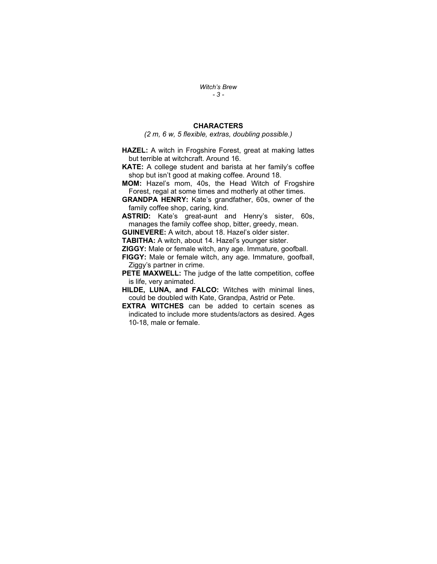Witch's Brew - 3 -

## **CHARACTERS**

(2 m, 6 w, 5 flexible, extras, doubling possible.)

HAZEL: A witch in Frogshire Forest, great at making lattes but terrible at witchcraft. Around 16.

KATE: A college student and barista at her family's coffee shop but isn't good at making coffee. Around 18.

MOM: Hazel's mom, 40s, the Head Witch of Frogshire Forest, regal at some times and motherly at other times.

GRANDPA HENRY: Kate's grandfather, 60s, owner of the family coffee shop, caring, kind.

ASTRID: Kate's great-aunt and Henry's sister, 60s, manages the family coffee shop, bitter, greedy, mean.

GUINEVERE: A witch, about 18. Hazel's older sister.

TABITHA: A witch, about 14. Hazel's younger sister.

ZIGGY: Male or female witch, any age. Immature, goofball.

FIGGY: Male or female witch, any age. Immature, goofball, Ziggy's partner in crime.

PETE MAXWELL: The judge of the latte competition, coffee is life, very animated.

HILDE, LUNA, and FALCO: Witches with minimal lines, could be doubled with Kate, Grandpa, Astrid or Pete.

EXTRA WITCHES can be added to certain scenes as indicated to include more students/actors as desired. Ages 10-18, male or female.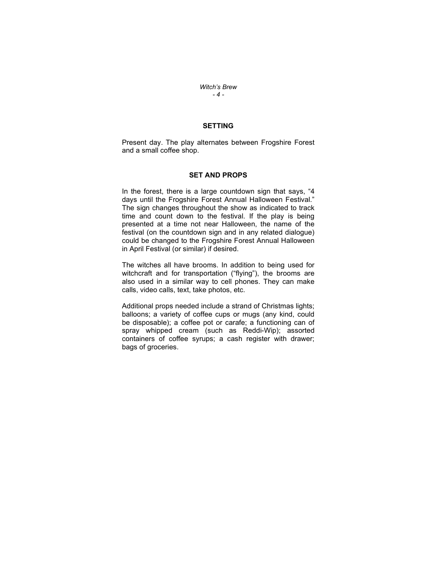Witch's Brew - 4 -

## SETTING

Present day. The play alternates between Frogshire Forest and a small coffee shop.

#### SET AND PROPS

In the forest, there is a large countdown sign that says, "4 days until the Frogshire Forest Annual Halloween Festival." The sign changes throughout the show as indicated to track time and count down to the festival. If the play is being presented at a time not near Halloween, the name of the festival (on the countdown sign and in any related dialogue) could be changed to the Frogshire Forest Annual Halloween in April Festival (or similar) if desired.

The witches all have brooms. In addition to being used for witchcraft and for transportation ("flying"), the brooms are also used in a similar way to cell phones. They can make calls, video calls, text, take photos, etc.

Additional props needed include a strand of Christmas lights; balloons; a variety of coffee cups or mugs (any kind, could be disposable); a coffee pot or carafe; a functioning can of spray whipped cream (such as Reddi-Wip); assorted containers of coffee syrups; a cash register with drawer; bags of groceries.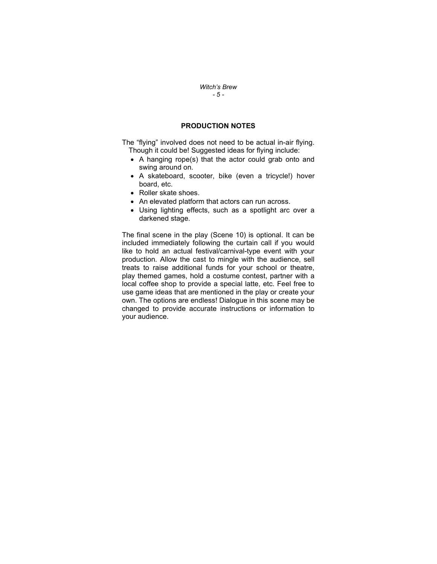#### Witch's Brew - 5 -

## PRODUCTION NOTES

The "flying" involved does not need to be actual in-air flying. Though it could be! Suggested ideas for flying include:

- A hanging rope(s) that the actor could grab onto and swing around on.
- A skateboard, scooter, bike (even a tricycle!) hover board, etc.
- Roller skate shoes.
- An elevated platform that actors can run across.
- Using lighting effects, such as a spotlight arc over a darkened stage.

The final scene in the play (Scene 10) is optional. It can be included immediately following the curtain call if you would like to hold an actual festival/carnival-type event with your production. Allow the cast to mingle with the audience, sell treats to raise additional funds for your school or theatre, play themed games, hold a costume contest, partner with a local coffee shop to provide a special latte, etc. Feel free to use game ideas that are mentioned in the play or create your own. The options are endless! Dialogue in this scene may be changed to provide accurate instructions or information to your audience.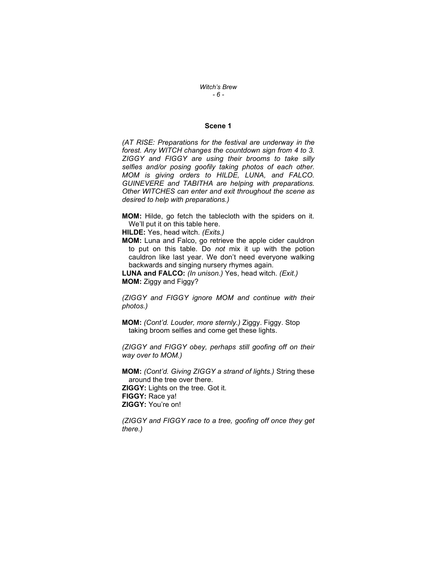Witch's Brew - 6 -

#### Scene 1

(AT RISE: Preparations for the festival are underway in the forest. Any WITCH changes the countdown sign from 4 to 3. ZIGGY and FIGGY are using their brooms to take silly selfies and/or posing goofily taking photos of each other. MOM is giving orders to HILDE, LUNA, and FALCO. GUINEVERE and TABITHA are helping with preparations. Other WITCHES can enter and exit throughout the scene as desired to help with preparations.)

MOM: Hilde, go fetch the tablecloth with the spiders on it. We'll put it on this table here.

HILDE: Yes, head witch. (Exits.)

MOM: Luna and Falco, go retrieve the apple cider cauldron to put on this table. Do not mix it up with the potion cauldron like last year. We don't need everyone walking backwards and singing nursery rhymes again.

LUNA and FALCO: (In unison.) Yes, head witch. (Exit.) MOM: Ziggy and Figgy?

(ZIGGY and FIGGY ignore MOM and continue with their photos.)

MOM: (Cont'd. Louder, more sternly.) Ziggy. Figgy. Stop taking broom selfies and come get these lights.

(ZIGGY and FIGGY obey, perhaps still goofing off on their way over to MOM.)

MOM: (Cont'd. Giving ZIGGY a strand of lights.) String these around the tree over there. ZIGGY: Lights on the tree. Got it. FIGGY: Race ya! ZIGGY: You're on!

(ZIGGY and FIGGY race to a tree, goofing off once they get there.)